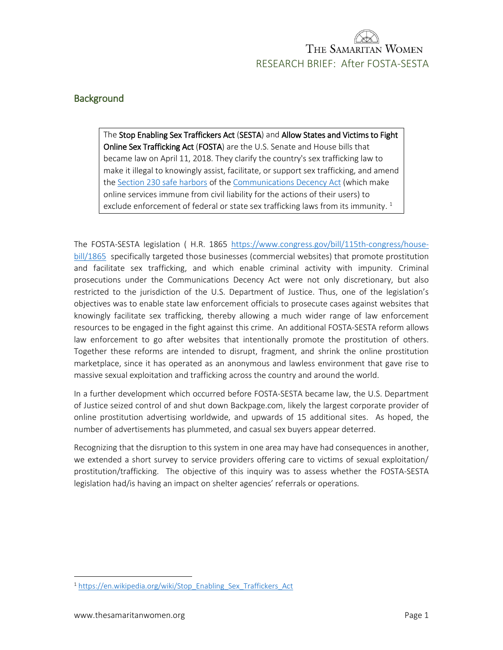### **Background**

The Stop Enabling Sex Traffickers Act (SESTA) and Allow States and Victims to Fight Online Sex Trafficking Act (FOSTA) are the U.S. Senate and House bills that became law on April 11, 2018. They clarify the country's sex trafficking law to make it illegal to knowingly assist, facilitate, or support sex trafficking, and amend the [Section 230 safe harbors](https://en.wikipedia.org/wiki/Section_230_of_the_Communications_Decency_Act) of th[e Communications Decency Act](https://en.wikipedia.org/wiki/Communications_Decency_Act) (which make online services immune from civil liability for the actions of their users) to exclude enforcement of federal or state sex trafficking laws from its immunity.  $1$ 

The FOSTA-SESTA legislation ( H.R. 1865 [https://www.congress.gov/bill/115th-congress/house](https://www.congress.gov/bill/115th-congress/house-bill/1865)[bill/1865](https://www.congress.gov/bill/115th-congress/house-bill/1865) specifically targeted those businesses (commercial websites) that promote prostitution and facilitate sex trafficking, and which enable criminal activity with impunity. Criminal prosecutions under the Communications Decency Act were not only discretionary, but also restricted to the jurisdiction of the U.S. Department of Justice. Thus, one of the legislation's objectives was to enable state law enforcement officials to prosecute cases against websites that knowingly facilitate sex trafficking, thereby allowing a much wider range of law enforcement resources to be engaged in the fight against this crime. An additional FOSTA-SESTA reform allows law enforcement to go after websites that intentionally promote the prostitution of others. Together these reforms are intended to disrupt, fragment, and shrink the online prostitution marketplace, since it has operated as an anonymous and lawless environment that gave rise to massive sexual exploitation and trafficking across the country and around the world.

In a further development which occurred before FOSTA-SESTA became law, the U.S. Department of Justice seized control of and shut down Backpage.com, likely the largest corporate provider of online prostitution advertising worldwide, and upwards of 15 additional sites. As hoped, the number of advertisements has plummeted, and casual sex buyers appear deterred.

Recognizing that the disruption to this system in one area may have had consequences in another, we extended a short survey to service providers offering care to victims of sexual exploitation/ prostitution/trafficking. The objective of this inquiry was to assess whether the FOSTA-SESTA legislation had/is having an impact on shelter agencies' referrals or operations.

 $\overline{a}$ 

<sup>&</sup>lt;sup>1</sup> [https://en.wikipedia.org/wiki/Stop\\_Enabling\\_Sex\\_Traffickers\\_Act](https://en.wikipedia.org/wiki/Stop_Enabling_Sex_Traffickers_Act)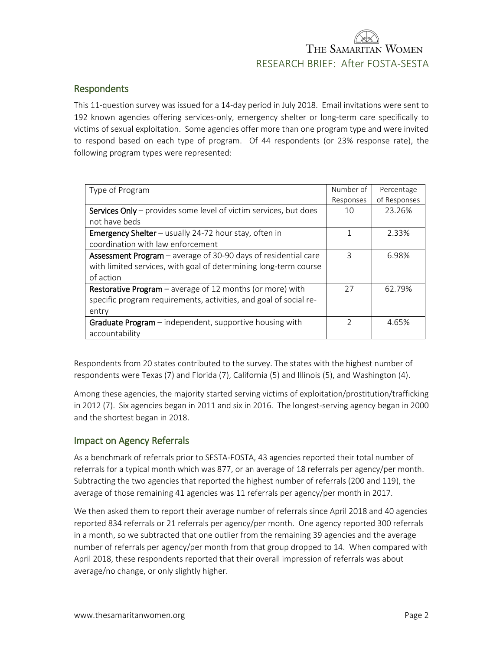### Respondents

This 11-question survey was issued for a 14-day period in July 2018. Email invitations were sent to 192 known agencies offering services-only, emergency shelter or long-term care specifically to victims of sexual exploitation. Some agencies offer more than one program type and were invited to respond based on each type of program. Of 44 respondents (or 23% response rate), the following program types were represented:

| Type of Program                                                         | Number of     | Percentage   |
|-------------------------------------------------------------------------|---------------|--------------|
|                                                                         | Responses     | of Responses |
| <b>Services Only</b> – provides some level of victim services, but does | 10            | 23.26%       |
| not have beds                                                           |               |              |
| Emergency Shelter - usually 24-72 hour stay, often in                   |               | 2.33%        |
| coordination with law enforcement                                       |               |              |
| <b>Assessment Program</b> – average of 30-90 days of residential care   | ς             | 6.98%        |
| with limited services, with goal of determining long-term course        |               |              |
| of action                                                               |               |              |
| <b>Restorative Program</b> – average of 12 months (or more) with        | 27            | 62.79%       |
| specific program requirements, activities, and goal of social re-       |               |              |
| entry                                                                   |               |              |
| <b>Graduate Program</b> – independent, supportive housing with          | $\mathcal{D}$ | 4.65%        |
| accountability                                                          |               |              |

Respondents from 20 states contributed to the survey. The states with the highest number of respondents were Texas (7) and Florida (7), California (5) and Illinois (5), and Washington (4).

Among these agencies, the majority started serving victims of exploitation/prostitution/trafficking in 2012 (7). Six agencies began in 2011 and six in 2016. The longest-serving agency began in 2000 and the shortest began in 2018.

### Impact on Agency Referrals

As a benchmark of referrals prior to SESTA-FOSTA, 43 agencies reported their total number of referrals for a typical month which was 877, or an average of 18 referrals per agency/per month. Subtracting the two agencies that reported the highest number of referrals (200 and 119), the average of those remaining 41 agencies was 11 referrals per agency/per month in 2017.

We then asked them to report their average number of referrals since April 2018 and 40 agencies reported 834 referrals or 21 referrals per agency/per month. One agency reported 300 referrals in a month, so we subtracted that one outlier from the remaining 39 agencies and the average number of referrals per agency/per month from that group dropped to 14. When compared with April 2018, these respondents reported that their overall impression of referrals was about average/no change, or only slightly higher.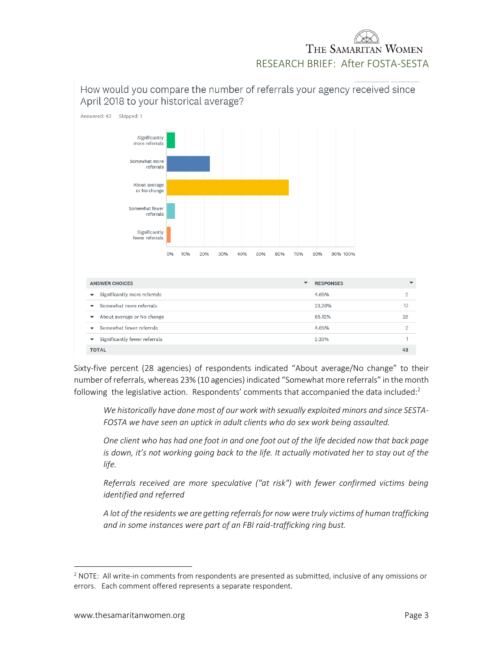Answered: 43 Skipped: 1 Significantly more referrals Somewhat more referrals About average or No change Somewhat fewer referrals Significantly fewer referrals 0% 80% 90% 100% 10% 20% 30% 40% 50% 60% 70%

How would you compare the number of referrals your agency received since April 2018 to your historical average?

| <b>ANSWER CHOICES</b>                                     | <b>RESPONSES</b> |    |
|-----------------------------------------------------------|------------------|----|
| Significantly more referrals<br>$\overline{\phantom{a}}$  | 4.65%            | ∩  |
| Somewhat more referrals<br>$\overline{\phantom{a}}$       | 23.26%           | 10 |
| About average or No change<br>$\overline{\phantom{a}}$    | 65.12%           | 28 |
| Somewhat fewer referrals<br>$\overline{\phantom{a}}$      | 4.65%            | 2  |
| Significantly fewer referrals<br>$\overline{\phantom{a}}$ | 2.33%            |    |
| <b>TOTAL</b>                                              |                  | 43 |

Sixty-five percent (28 agencies) of respondents indicated "About average/No change" to their number of referrals, whereas 23% (10 agencies) indicated "Somewhat more referrals" in the month following the legislative action. Respondents' comments that accompanied the data included: $2$ 

*We historically have done most of our work with sexually exploited minors and since SESTA-FOSTA we have seen an uptick in adult clients who do sex work being assaulted.*

*One client who has had one foot in and one foot out of the life decided now that back page is down, it's not working going back to the life. It actually motivated her to stay out of the life.*

*Referrals received are more speculative ("at risk") with fewer confirmed victims being identified and referred*

*A lot of the residents we are getting referrals for now were truly victims of human trafficking and in some instances were part of an FBI raid-trafficking ring bust.*

 $\overline{\phantom{a}}$ 

 $<sup>2</sup>$  NOTE: All write-in comments from respondents are presented as submitted, inclusive of any omissions or</sup> errors. Each comment offered represents a separate respondent.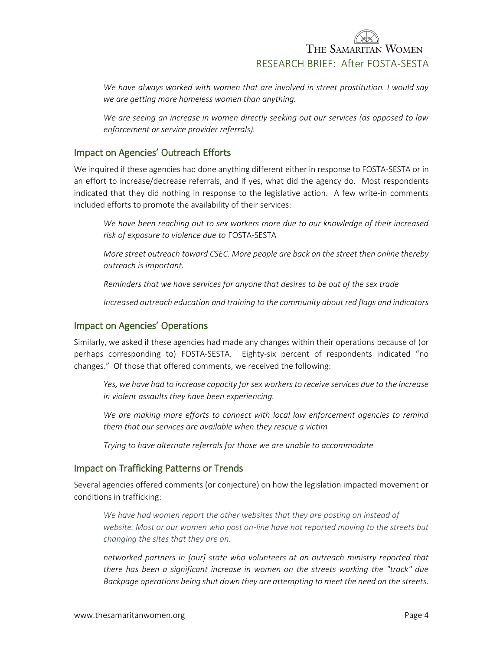*We have always worked with women that are involved in street prostitution. I would say we are getting more homeless women than anything.*

*We are seeing an increase in women directly seeking out our services (as opposed to law enforcement or service provider referrals).*

### Impact on Agencies' Outreach Efforts

We inquired if these agencies had done anything different either in response to FOSTA-SESTA or in an effort to increase/decrease referrals, and if yes, what did the agency do. Most respondents indicated that they did nothing in response to the legislative action. A few write-in comments included efforts to promote the availability of their services:

*We have been reaching out to sex workers more due to our knowledge of their increased risk of exposure to violence due to* FOSTA-SESTA

*More street outreach toward CSEC. More people are back on the street then online thereby outreach is important.*

*Reminders that we have services for anyone that desires to be out of the sex trade*

*Increased outreach education and training to the community about red flags and indicators*

#### Impact on Agencies' Operations

Similarly, we asked if these agencies had made any changes within their operations because of (or perhaps corresponding to) FOSTA-SESTA. Eighty-six percent of respondents indicated "no changes." Of those that offered comments, we received the following:

*Yes, we have had to increase capacity for sex workers to receive services due to the increase in violent assaults they have been experiencing.*

We are making more efforts to connect with local law enforcement agencies to remind *them that our services are available when they rescue a victim*

*Trying to have alternate referrals for those we are unable to accommodate*

#### Impact on Trafficking Patterns or Trends

Several agencies offered comments (or conjecture) on how the legislation impacted movement or conditions in trafficking:

*We have had women report the other websites that they are posting on instead of website. Most or our women who post on-line have not reported moving to the streets but changing the sites that they are on.*

*networked partners in [our] state who volunteers at an outreach ministry reported that there has been a significant increase in women on the streets working the "track" due Backpage operations being shut down they are attempting to meet the need on the streets.*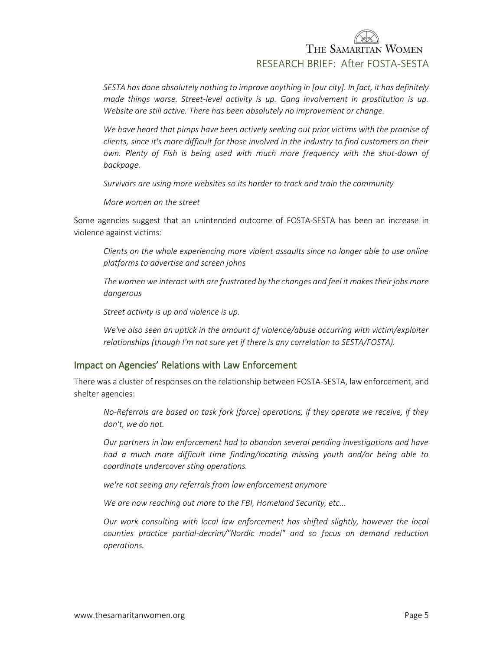*SESTA has done absolutely nothing to improve anything in [our city]. In fact, it has definitely*  made things worse. Street-level activity is up. Gang involvement in prostitution is up. *Website are still active. There has been absolutely no improvement or change.*

*We have heard that pimps have been actively seeking out prior victims with the promise of clients, since it's more difficult for those involved in the industry to find customers on their own. Plenty of Fish is being used with much more frequency with the shut-down of backpage.*

*Survivors are using more websites so its harder to track and train the community*

*More women on the street*

Some agencies suggest that an unintended outcome of FOSTA-SESTA has been an increase in violence against victims:

*Clients on the whole experiencing more violent assaults since no longer able to use online platforms to advertise and screen johns*

*The women we interact with are frustrated by the changes and feel it makes their jobs more dangerous*

*Street activity is up and violence is up.*

*We've also seen an uptick in the amount of violence/abuse occurring with victim/exploiter relationships (though I'm not sure yet if there is any correlation to SESTA/FOSTA).* 

### Impact on Agencies' Relations with Law Enforcement

There was a cluster of responses on the relationship between FOSTA-SESTA, law enforcement, and shelter agencies:

*No-Referrals are based on task fork [force] operations, if they operate we receive, if they don't, we do not.*

*Our partners in law enforcement had to abandon several pending investigations and have had a much more difficult time finding/locating missing youth and/or being able to coordinate undercover sting operations.* 

*we're not seeing any referrals from law enforcement anymore*

*We are now reaching out more to the FBI, Homeland Security, etc...*

*Our work consulting with local law enforcement has shifted slightly, however the local counties practice partial-decrim/"Nordic model" and so focus on demand reduction operations.*